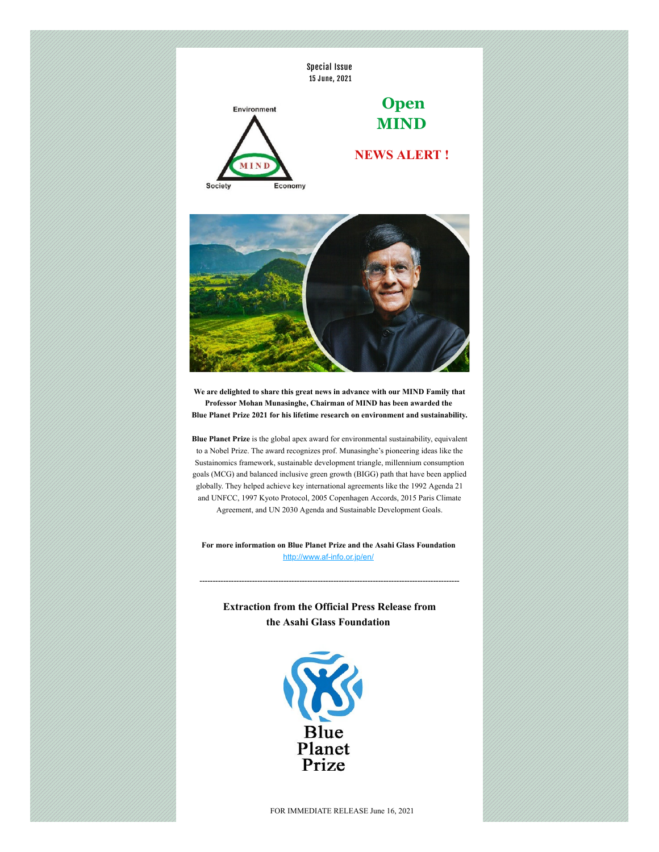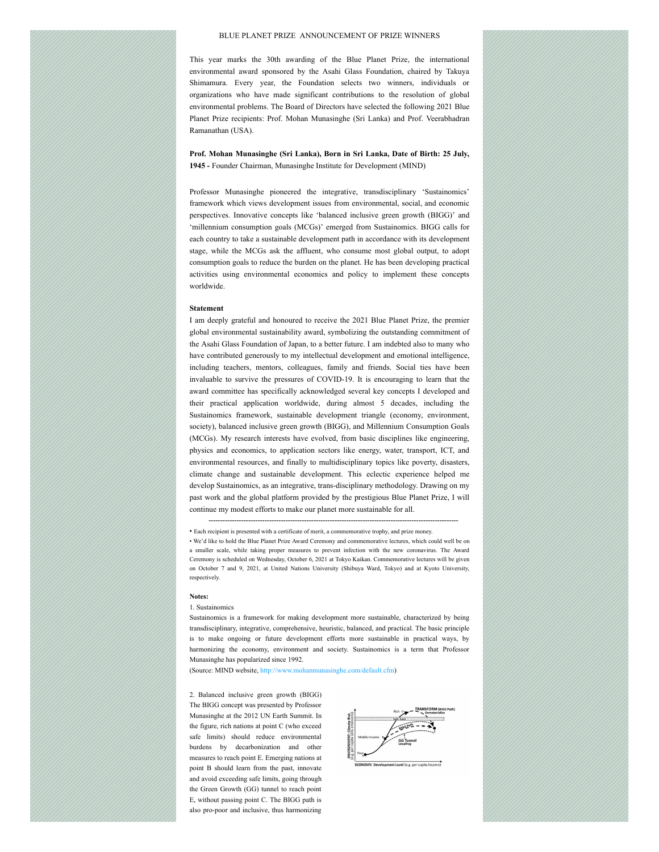## BLUE PLANET PRIZE ANNOUNCEMENT OF PRIZE WINNERS

This year marks the 30th awarding of the Blue Planet Prize, the international environmental award sponsored by the Asahi Glass Foundation, chaired by Takuya Shimamura. Every year, the Foundation selects two winners, individuals or organizations who have made significant contributions to the resolution of global environmental problems. The Board of Directors have selected the following 2021 Blue Planet Prize recipients: Prof. Mohan Munasinghe (Sri Lanka) and Prof. Veerabhadran Ramanathan (USA).

# **Prof. Mohan Munasinghe (Sri Lanka), Born in Sri Lanka, Date of Birth: 25 July, 1945 -** Founder Chairman, Munasinghe Institute for Development (MIND)

Professor Munasinghe pioneered the integrative, transdisciplinary 'Sustainomics' framework which views development issues from environmental, social, and economic perspectives. Innovative concepts like 'balanced inclusive green growth (BIGG)' and 'millennium consumption goals (MCGs)' emerged from Sustainomics. BIGG calls for each country to take a sustainable development path in accordance with its development stage, while the MCGs ask the affluent, who consume most global output, to adopt consumption goals to reduce the burden on the planet. He has been developing practical activities using environmental economics and policy to implement these concepts worldwide.

## **Statement**

I am deeply grateful and honoured to receive the 2021 Blue Planet Prize, the premier global environmental sustainability award, symbolizing the outstanding commitment of the Asahi Glass Foundation of Japan, to a better future. I am indebted also to many who have contributed generously to my intellectual development and emotional intelligence, including teachers, mentors, colleagues, family and friends. Social ties have been invaluable to survive the pressures of COVID-19. It is encouraging to learn that the award committee has specifically acknowledged several key concepts I developed and their practical application worldwide, during almost 5 decades, including the Sustainomics framework, sustainable development triangle (economy, environment, society), balanced inclusive green growth (BIGG), and Millennium Consumption Goals (MCGs). My research interests have evolved, from basic disciplines like engineering, physics and economics, to application sectors like energy, water, transport, ICT, and environmental resources, and finally to multidisciplinary topics like poverty, disasters, climate change and sustainable development. This eclectic experience helped me develop Sustainomics, as an integrative, trans-disciplinary methodology. Drawing on my past work and the global platform provided by the prestigious Blue Planet Prize, I will continue my modest efforts to make our planet more sustainable for all.

• Each recipient is presented with a certificate of merit, a commemorative trophy, and prize money.

• We'd like to hold the Blue Planet Prize Award Ceremony and commemorative lectures, which could well be on a smaller scale, while taking proper measures to prevent infection with the new coronavirus. The Award Ceremony is scheduled on Wednesday, October 6, 2021 at Tokyo Kaikan. Commemorative lectures will be given on October 7 and 9, 2021, at United Nations University (Shibuya Ward, Tokyo) and at Kyoto University, respectively.

-----------------------------------------------------------------------------------------------------------

#### **Notes:**

#### 1. Sustainomics

Sustainomics is a framework for making development more sustainable, characterized by being transdisciplinary, integrative, comprehensive, heuristic, balanced, and practical. The basic principle is to make ongoing or future development efforts more sustainable in practical ways, by harmonizing the economy, environment and society. Sustainomics is a term that Professor Munasinghe has popularized since 1992.

(Source: MIND website, [http://www.mohanmunasinghe.com/default.cfm\)](https://shoutout.wix.com/so/80Nc8i32P/c?w=ZYYw1mENx-S0R3JpICOIhpbL7lOYWnSO7vllcZsGoHk.eyJ1IjoiaHR0cDovL3d3dy5tb2hhbm11bmFzaW5naGUuY29tL2RlZmF1bHQuY2ZtIiwiciI6IjE2MDgxMzFmLWUyNjItNDFmMC00ZjRlLTVjZDViODI4ZGIxMiIsIm0iOiJscCJ9)

2. Balanced inclusive green growth (BIGG) The BIGG concept was presented by Professor Munasinghe at the 2012 UN Earth Summit. In the figure, rich nations at point C (who exceed safe limits) should reduce environmental burdens by decarbonization and other measures to reach point E. Emerging nations at point B should learn from the past, innovate and avoid exceeding safe limits, going through the Green Growth (GG) tunnel to reach point E, without passing point C. The BIGG path is also pro-poor and inclusive, thus harmonizing